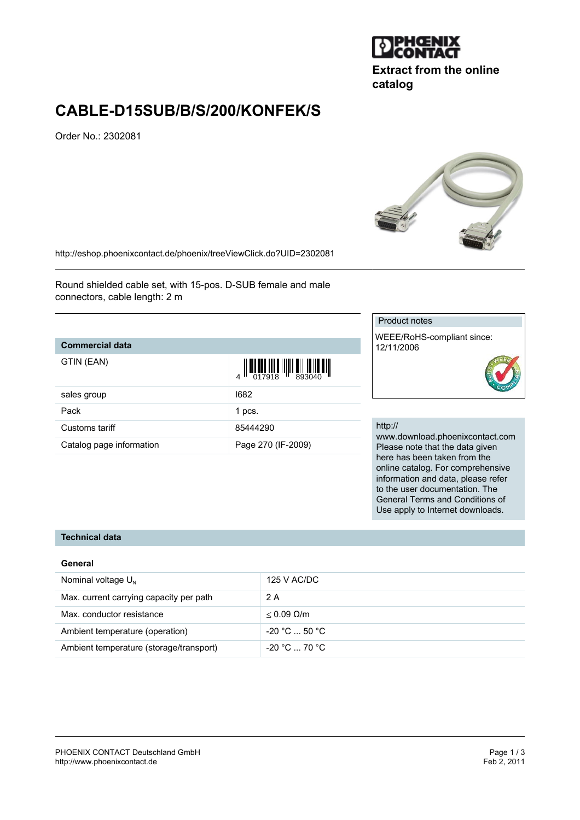

# **Extract from the online catalog**

# **CABLE-D15SUB/B/S/200/KONFEK/S**

Order No.: 2302081



<http://eshop.phoenixcontact.de/phoenix/treeViewClick.do?UID=2302081>

Round shielded cable set, with 15-pos. D-SUB female and male connectors, cable length: 2 m

## **Commercial data**

 $\overline{\mathbf{F}}$ IN ( $\overline{\mathbf{F}}$ AN)

| GTIN (EAN)               | $\left\  \prod_{017918} \prod_{1018} \prod_{11893040} \prod_{11893040} \prod_{11893040} \prod_{11893040} \prod_{11893040} \prod_{11893040} \prod_{11893040} \prod_{11893040} \prod_{11893040} \prod_{11893040} \prod_{11893040} \prod_{11893040} \prod_{11893040} \prod_{11893040} \prod_{11893040} \prod_{11893040} \prod_{118$ |
|--------------------------|----------------------------------------------------------------------------------------------------------------------------------------------------------------------------------------------------------------------------------------------------------------------------------------------------------------------------------|
| sales group              | 1682                                                                                                                                                                                                                                                                                                                             |
| Pack                     | 1 pcs.                                                                                                                                                                                                                                                                                                                           |
| Customs tariff           | 85444290                                                                                                                                                                                                                                                                                                                         |
| Catalog page information | Page 270 (IF-2009)                                                                                                                                                                                                                                                                                                               |

## Product notes

WEEE/RoHS-compliant since: 12/11/2006

#### http://

www.download.phoenixcontact.com Please note that the data given here has been taken from the online catalog. For comprehensive information and data, please refer to the user documentation. The General Terms and Conditions of Use apply to Internet downloads.

## **Technical data**

### **General**

| Nominal voltage $U_{N}$                 | 125 V AC/DC          |
|-----------------------------------------|----------------------|
| Max. current carrying capacity per path | 2 A                  |
| Max. conductor resistance               | $< 0.09$ Q/m         |
| Ambient temperature (operation)         | $-20 °C  50 °C$      |
| Ambient temperature (storage/transport) | $-20\degree$ C 70 °C |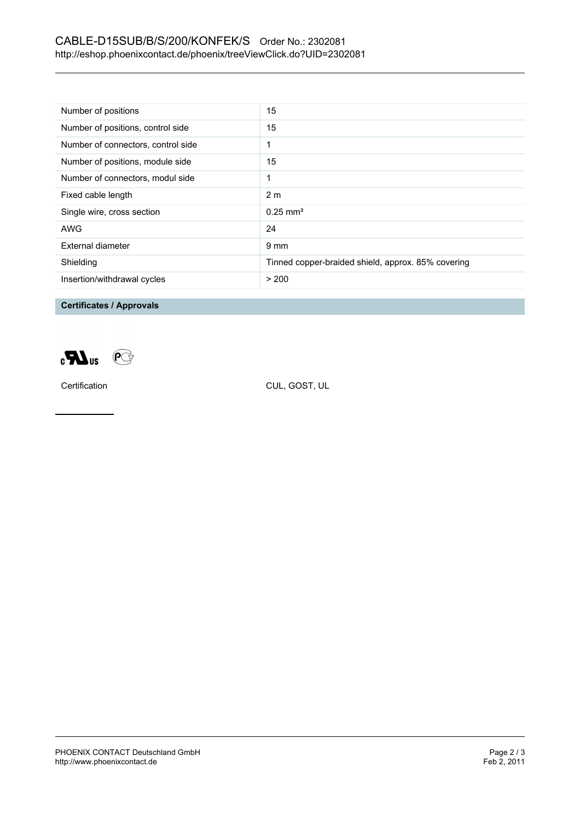## CABLE-D15SUB/B/S/200/KONFEK/S Order No.: 2302081 <http://eshop.phoenixcontact.de/phoenix/treeViewClick.do?UID=2302081>

| Number of positions                | 15                                                 |
|------------------------------------|----------------------------------------------------|
| Number of positions, control side  | 15                                                 |
| Number of connectors, control side |                                                    |
| Number of positions, module side   | 15                                                 |
| Number of connectors, modul side   | 1                                                  |
| Fixed cable length                 | 2 <sub>m</sub>                                     |
| Single wire, cross section         | $0.25$ mm <sup>2</sup>                             |
| <b>AWG</b>                         | 24                                                 |
| External diameter                  | $9 \text{ mm}$                                     |
| Shielding                          | Tinned copper-braided shield, approx. 85% covering |
| Insertion/withdrawal cycles        | > 200                                              |

**Certificates / Approvals**



Certification CUL, GOST, UL